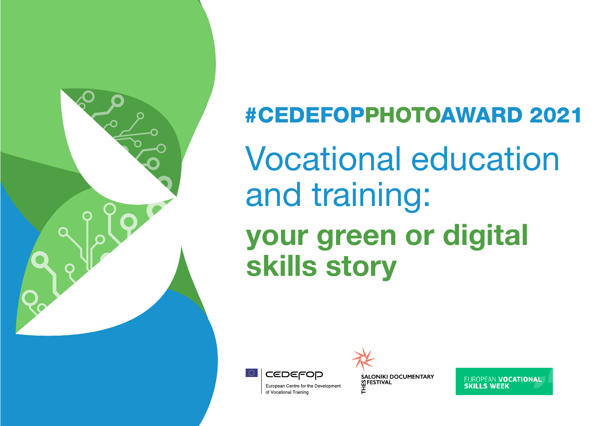

# #CEDEFOPPHOTOAWARD 2021 Vocational education and training: your green or digital skills story



of Vocational Training

**SALONIKI DOCUMENTARY M FESTIVAL** 

**EUROPEAN VOCATIONAL SKILLS WEEK**